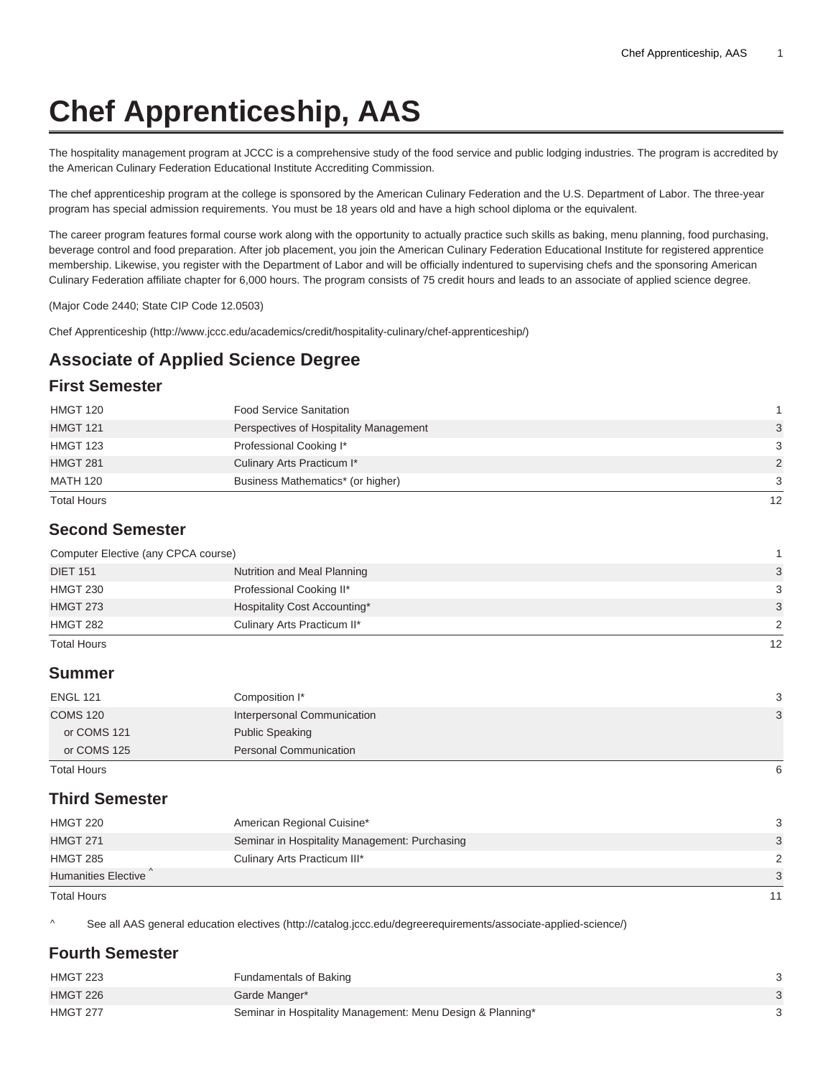# **Chef Apprenticeship, AAS**

The hospitality management program at JCCC is a comprehensive study of the food service and public lodging industries. The program is accredited by the American Culinary Federation Educational Institute Accrediting Commission.

The chef apprenticeship program at the college is sponsored by the American Culinary Federation and the U.S. Department of Labor. The three-year program has special admission requirements. You must be 18 years old and have a high school diploma or the equivalent.

The career program features formal course work along with the opportunity to actually practice such skills as baking, menu planning, food purchasing, beverage control and food preparation. After job placement, you join the American Culinary Federation Educational Institute for registered apprentice membership. Likewise, you register with the Department of Labor and will be officially indentured to supervising chefs and the sponsoring American Culinary Federation affiliate chapter for 6,000 hours. The program consists of 75 credit hours and leads to an associate of applied science degree.

(Major Code 2440; State CIP Code 12.0503)

[Chef Apprenticeship](http://www.jccc.edu/academics/credit/hospitality-culinary/chef-apprenticeship/) (<http://www.jccc.edu/academics/credit/hospitality-culinary/chef-apprenticeship/>)

# **Associate of Applied Science Degree**

#### **First Semester**

| <b>Total Hours</b> |                                        | $12 \overline{ }$ |
|--------------------|----------------------------------------|-------------------|
| MATH 120           | Business Mathematics* (or higher)      | 3                 |
| <b>HMGT 281</b>    | Culinary Arts Practicum I*             | 2                 |
| <b>HMGT 123</b>    | Professional Cooking I*                | 3                 |
| <b>HMGT 121</b>    | Perspectives of Hospitality Management | 3                 |
| <b>HMGT 120</b>    | <b>Food Service Sanitation</b>         |                   |

#### **Second Semester**

| Computer Elective (any CPCA course) |                              |    |
|-------------------------------------|------------------------------|----|
| <b>DIET 151</b>                     | Nutrition and Meal Planning  | 3  |
| <b>HMGT 230</b>                     | Professional Cooking II*     | 3  |
| <b>HMGT 273</b>                     | Hospitality Cost Accounting* | 3  |
| <b>HMGT 282</b>                     | Culinary Arts Practicum II*  | 2  |
| <b>Total Hours</b>                  |                              | 12 |

#### **Summer**

| <b>ENGL 121</b>                               | Composition I*                                          | 3 |
|-----------------------------------------------|---------------------------------------------------------|---|
| <b>COMS 120</b><br>or COMS 121<br>or COMS 125 | Interpersonal Communication                             | 3 |
|                                               | <b>Public Speaking</b><br><b>Personal Communication</b> |   |
|                                               |                                                         |   |
| Total Hours                                   |                                                         | 6 |

#### **Third Semester**

| <b>HMGT 220</b>     | American Regional Cuisine*                    | 3             |
|---------------------|-----------------------------------------------|---------------|
| <b>HMGT 271</b>     | Seminar in Hospitality Management: Purchasing | 3             |
| <b>HMGT 285</b>     | Culinary Arts Practicum III*                  | $\mathcal{D}$ |
| Humanities Elective |                                               | 3             |
| <b>Total Hours</b>  |                                               |               |

^ [See all AAS general education electives](http://catalog.jccc.edu/degreerequirements/associate-applied-science/) (<http://catalog.jccc.edu/degreerequirements/associate-applied-science/>)

#### **Fourth Semester**

| <b>HMGT 223</b> | Fundamentals of Baking                                     |  |
|-----------------|------------------------------------------------------------|--|
| <b>HMGT 226</b> | Garde Manger*                                              |  |
| <b>HMGT 277</b> | Seminar in Hospitality Management: Menu Design & Planning* |  |